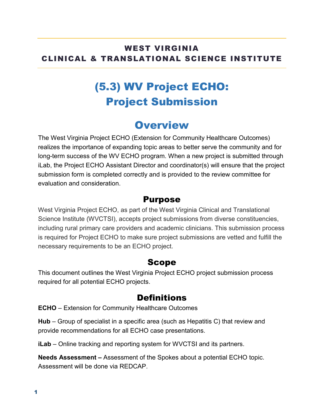#### WEST VIRGINIA CLINICAL & TRANSLATIONAL SCIENCE INSTITUTE

# (5.3) WV Project ECHO: Project Submission

### **Overview**

The West Virginia Project ECHO (Extension for Community Healthcare Outcomes) realizes the importance of expanding topic areas to better serve the community and for long-term success of the WV ECHO program. When a new project is submitted through iLab, the Project ECHO Assistant Director and coordinator(s) will ensure that the project submission form is completed correctly and is provided to the review committee for evaluation and consideration.

#### Purpose

West Virginia Project ECHO, as part of the West Virginia Clinical and Translational Science Institute (WVCTSI), accepts project submissions from diverse constituencies, including rural primary care providers and academic clinicians. This submission process is required for Project ECHO to make sure project submissions are vetted and fulfill the necessary requirements to be an ECHO project.

#### Scope

This document outlines the West Virginia Project ECHO project submission process required for all potential ECHO projects.

#### **Definitions**

**ECHO** – Extension for Community Healthcare Outcomes

**Hub** – Group of specialist in a specific area (such as Hepatitis C) that review and provide recommendations for all ECHO case presentations.

**iLab** – Online tracking and reporting system for WVCTSI and its partners.

**Needs Assessment –** Assessment of the Spokes about a potential ECHO topic. Assessment will be done via REDCAP.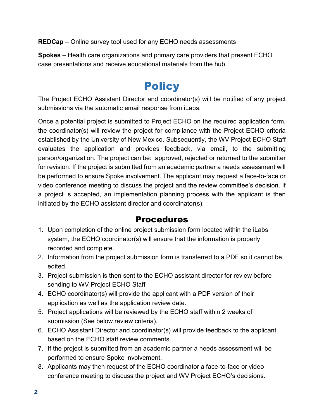**REDCap** – Online survey tool used for any ECHO needs assessments

**Spokes** – Health care organizations and primary care providers that present ECHO case presentations and receive educational materials from the hub.

## **Policy**

The Project ECHO Assistant Director and coordinator(s) will be notified of any project submissions via the automatic email response from iLabs.

Once a potential project is submitted to Project ECHO on the required application form, the coordinator(s) will review the project for compliance with the Project ECHO criteria established by the University of New Mexico. Subsequently, the WV Project ECHO Staff evaluates the application and provides feedback, via email, to the submitting person/organization. The project can be: approved, rejected or returned to the submitter for revision. If the project is submitted from an academic partner a needs assessment will be performed to ensure Spoke involvement. The applicant may request a face-to-face or video conference meeting to discuss the project and the review committee's decision. If a project is accepted, an implementation planning process with the applicant is then initiated by the ECHO assistant director and coordinator(s).

#### Procedures

- 1. Upon completion of the online project submission form located within the iLabs system, the ECHO coordinator(s) will ensure that the information is properly recorded and complete.
- 2. Information from the project submission form is transferred to a PDF so it cannot be edited.
- 3. Project submission is then sent to the ECHO assistant director for review before sending to WV Project ECHO Staff
- 4. ECHO coordinator(s) will provide the applicant with a PDF version of their application as well as the application review date.
- 5. Project applications will be reviewed by the ECHO staff within 2 weeks of submission (See below review criteria).
- 6. ECHO Assistant Director and coordinator(s) will provide feedback to the applicant based on the ECHO staff review comments.
- 7. If the project is submitted from an academic partner a needs assessment will be performed to ensure Spoke involvement.
- 8. Applicants may then request of the ECHO coordinator a face-to-face or video conference meeting to discuss the project and WV Project ECHO's decisions.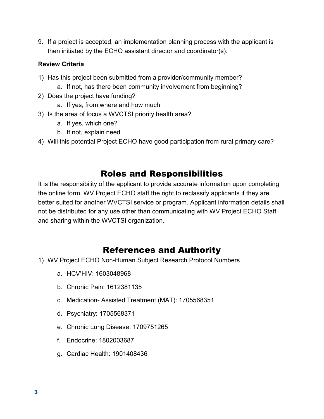9. If a project is accepted, an implementation planning process with the applicant is then initiated by the ECHO assistant director and coordinator(s).

#### **Review Criteria**

- 1) Has this project been submitted from a provider/community member?
	- a. If not, has there been community involvement from beginning?
- 2) Does the project have funding?
	- a. If yes, from where and how much
- 3) Is the area of focus a WVCTSI priority health area?
	- a. If yes, which one?
	- b. If not, explain need
- 4) Will this potential Project ECHO have good participation from rural primary care?

### Roles and Responsibilities

It is the responsibility of the applicant to provide accurate information upon completing the online form. WV Project ECHO staff the right to reclassify applicants if they are better suited for another WVCTSI service or program. Applicant information details shall not be distributed for any use other than communicating with WV Project ECHO Staff and sharing within the WVCTSI organization.

### References and Authority

- 1) WV Project ECHO Non-Human Subject Research Protocol Numbers
	- a. HCV'HIV: 1603048968
	- b. Chronic Pain: 1612381135
	- c. Medication- Assisted Treatment (MAT): 1705568351
	- d. Psychiatry: 1705568371
	- e. Chronic Lung Disease: 1709751265
	- f. Endocrine: 1802003687
	- g. Cardiac Health: 1901408436